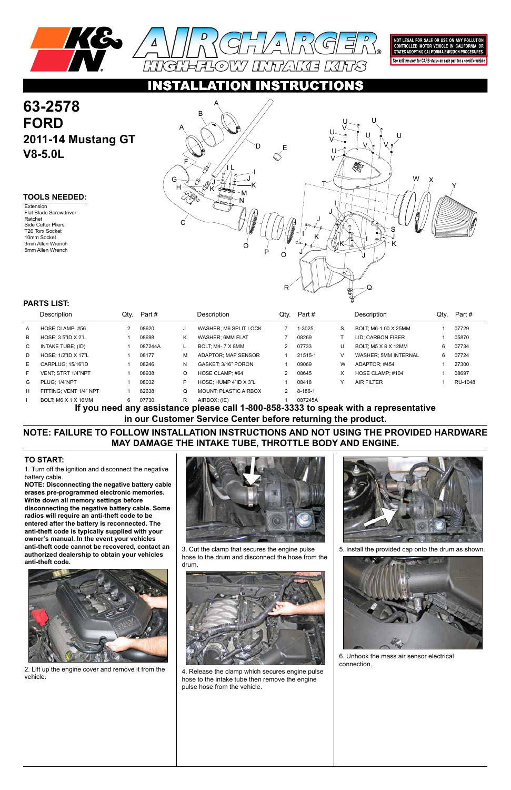

NOT LEGAL FOR SALE OR USE ON ANY POLLUTION<br>CONTROLLED MOTOR VEHICLE IN CALIFORNIA OR<br>STATES ADOPTING CALIFORNIA EMISSION PROCEDURES.

See knfilters.com for CARB status on each part for a specific vehicle

## CTIO

1. Turn off the ignition and disconnect the negative battery cable.

**NOTE: Disconnecting the negative battery cable erases pre-programmed electronic memories. Write down all memory settings before disconnecting the negative battery cable. Some radios will require an anti-theft code to be entered after the battery is reconnected. The anti-theft code is typically supplied with your owner's manual. In the event your vehicles anti-theft code cannot be recovered, contact an authorized dealership to obtain your vehicles anti-theft code.**



# **63-2578 FORD 2011-14 Mustang GT V8-5.0L**

**Extension** Flat Blade Screwdriver Ratchet Side Cutter Pliers T20 Torx Socket 10mm Socket 3mm Allen Wrench 5mm Allen Wrench

### **TO START:**

### **TOOLS NEEDED:**

**NOTE: FAILURE TO FOLLOW INSTALLATION INSTRUCTIONS AND NOT USING THE PROVIDED HARDWARE MAY DAMAGE THE INTAKE TUBE, THROTTLE BODY AND ENGINE.**

**If you need any assistance please call 1-800-858-3333 to speak with a representative in our Customer Service Center before returning the product.**

|              | Description               | Qtv. | Part #  |   | Description                  | Qty.           | Part #  |   | Description                 | Qty. | Part#   |
|--------------|---------------------------|------|---------|---|------------------------------|----------------|---------|---|-----------------------------|------|---------|
| A            | HOSE CLAMP: #56           |      | 08620   | J | WASHER: M6 SPLIT LOCK        |                | 1-3025  | S | BOLT, M6-1.00 X 25MM        |      | 07729   |
| B            | HOSE: 3.5"ID X 2"L        |      | 08698   | Κ | WASHER: 6MM FLAT             |                | 08269   |   | <b>LID: CARBON FIBER</b>    |      | 05870   |
| $\mathbf{C}$ | INTAKE TUBE; (ID)         |      | 087244A |   | BOLT, M4-.7 X 8MM            |                | 07733   | U | BOLT; M5 X 8 X 12MM         | 6.   | 07734   |
| D            | HOSE: 1/2"ID X 17"L       |      | 08177   | М | ADAPTOR: MAF SENSOR          |                | 21515-1 |   | <b>WASHER: 5MM INTERNAL</b> | 6.   | 07724   |
| E.           | CARPLUG: 15/16"ID         |      | 08246   | N | GASKET: 3/16" PORON          |                | 09069   | W | ADAPTOR: #454               |      | 27300   |
| F.           | <b>VENT: STRT 1/4"NPT</b> |      | 08938   | O | HOSE CLAMP: #64              | $\overline{2}$ | 08645   | X | HOSE CLAMP: #104            |      | 08697   |
| G            | PLUG: 1/4"NPT             |      | 08032   | P | HOSE: HUMP 4"ID X 3"L        |                | 08418   |   | <b>AIR FILTER</b>           |      | RU-1048 |
| H            | FITTING: VENT 1/4" NPT    |      | 82638   | Q | <b>MOUNT: PLASTIC AIRBOX</b> | 2              | 8-186-1 |   |                             |      |         |
|              | BOLT: M6 X 1 X 16MM       | 6    | 07730   | R | AIRBOX; (IE)                 |                | 087245A |   |                             |      |         |

### **PARTS LIST:**





3. Cut the clamp that secures the engine pulse hose to the drum and disconnect the hose from the drum.

2. Lift up the engine cover and remove it from the vehicle.



4. Release the clamp which secures engine pulse hose to the intake tube then remove the engine pulse hose from the vehicle.



5. Install the provided cap onto the drum as shown.



6. Unhook the mass air sensor electrical connection.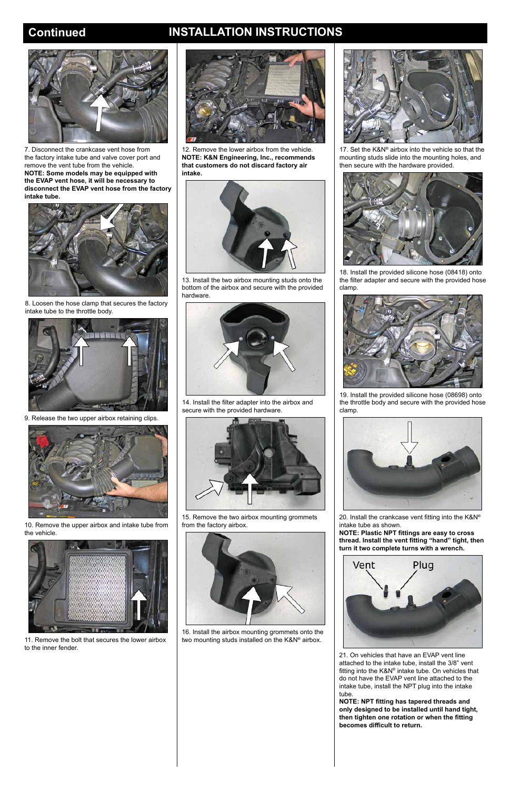# **Continued INSTALLATION INSTRUCTIONS**



7. Disconnect the crankcase vent hose from the factory intake tube and valve cover port and remove the vent tube from the vehicle. **NOTE: Some models may be equipped with the EVAP vent hose, it will be necessary to disconnect the EVAP vent hose from the factory intake tube.**



8. Loosen the hose clamp that secures the factory intake tube to the throttle body.



9. Release the two upper airbox retaining clips.



10. Remove the upper airbox and intake tube from the vehicle.





11. Remove the bolt that secures the lower airbox to the inner fender.

12. Remove the lower airbox from the vehicle. **NOTE: K&N Engineering, Inc., recommends that customers do not discard factory air intake.**



13. Install the two airbox mounting studs onto the bottom of the airbox and secure with the provided hardware.



14. Install the filter adapter into the airbox and secure with the provided hardware.



15. Remove the two airbox mounting grommets from the factory airbox.



16. Install the airbox mounting grommets onto the two mounting studs installed on the K&N® airbox.





17. Set the K&N® airbox into the vehicle so that the mounting studs slide into the mounting holes, and then secure with the hardware provided.



18. Install the provided silicone hose (08418) onto the filter adapter and secure with the provided hose clamp.



19. Install the provided silicone hose (08698) onto the throttle body and secure with the provided hose clamp.



20. Install the crankcase vent fitting into the K&N® intake tube as shown.

**NOTE: Plastic NPT fittings are easy to cross thread. Install the vent fitting "hand" tight, then turn it two complete turns with a wrench.**

Vent

Plug

21. On vehicles that have an EVAP vent line attached to the intake tube, install the 3/8" vent fitting into the K&N® intake tube. On vehicles that do not have the EVAP vent line attached to the intake tube, install the NPT plug into the intake tube.

**NOTE: NPT fitting has tapered threads and only designed to be installed until hand tight, then tighten one rotation or when the fitting becomes difficult to return.**